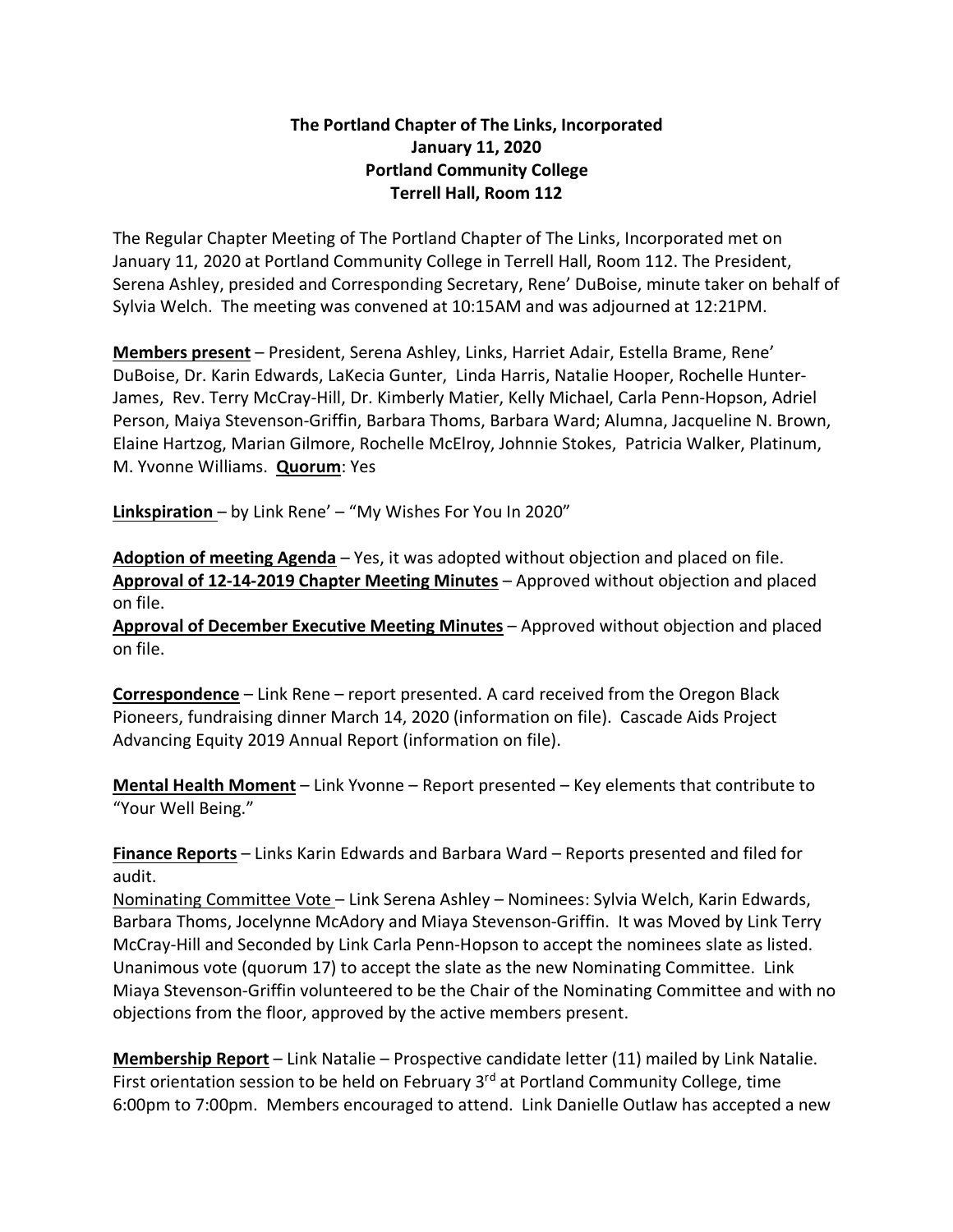## **The Portland Chapter of The Links, Incorporated January 11, 2020 Portland Community College Terrell Hall, Room 112**

The Regular Chapter Meeting of The Portland Chapter of The Links, Incorporated met on January 11, 2020 at Portland Community College in Terrell Hall, Room 112. The President, Serena Ashley, presided and Corresponding Secretary, Rene' DuBoise, minute taker on behalf of Sylvia Welch. The meeting was convened at 10:15AM and was adjourned at 12:21PM.

**Members present** – President, Serena Ashley, Links, Harriet Adair, Estella Brame, Rene' DuBoise, Dr. Karin Edwards, LaKecia Gunter, Linda Harris, Natalie Hooper, Rochelle Hunter-James, Rev. Terry McCray-Hill, Dr. Kimberly Matier, Kelly Michael, Carla Penn-Hopson, Adriel Person, Maiya Stevenson-Griffin, Barbara Thoms, Barbara Ward; Alumna, Jacqueline N. Brown, Elaine Hartzog, Marian Gilmore, Rochelle McElroy, Johnnie Stokes, Patricia Walker, Platinum, M. Yvonne Williams. **Quorum**: Yes

**Linkspiration** – by Link Rene' – "My Wishes For You In 2020"

**Adoption of meeting Agenda** – Yes, it was adopted without objection and placed on file. **Approval of 12-14-2019 Chapter Meeting Minutes** – Approved without objection and placed on file.

**Approval of December Executive Meeting Minutes** – Approved without objection and placed on file.

**Correspondence** – Link Rene – report presented. A card received from the Oregon Black Pioneers, fundraising dinner March 14, 2020 (information on file). Cascade Aids Project Advancing Equity 2019 Annual Report (information on file).

**Mental Health Moment** – Link Yvonne – Report presented – Key elements that contribute to "Your Well Being."

**Finance Reports** – Links Karin Edwards and Barbara Ward – Reports presented and filed for audit.

Nominating Committee Vote – Link Serena Ashley – Nominees: Sylvia Welch, Karin Edwards, Barbara Thoms, Jocelynne McAdory and Miaya Stevenson-Griffin. It was Moved by Link Terry McCray-Hill and Seconded by Link Carla Penn-Hopson to accept the nominees slate as listed. Unanimous vote (quorum 17) to accept the slate as the new Nominating Committee. Link Miaya Stevenson-Griffin volunteered to be the Chair of the Nominating Committee and with no objections from the floor, approved by the active members present.

**Membership Report** – Link Natalie – Prospective candidate letter (11) mailed by Link Natalie. First orientation session to be held on February 3<sup>rd</sup> at Portland Community College, time 6:00pm to 7:00pm. Members encouraged to attend. Link Danielle Outlaw has accepted a new